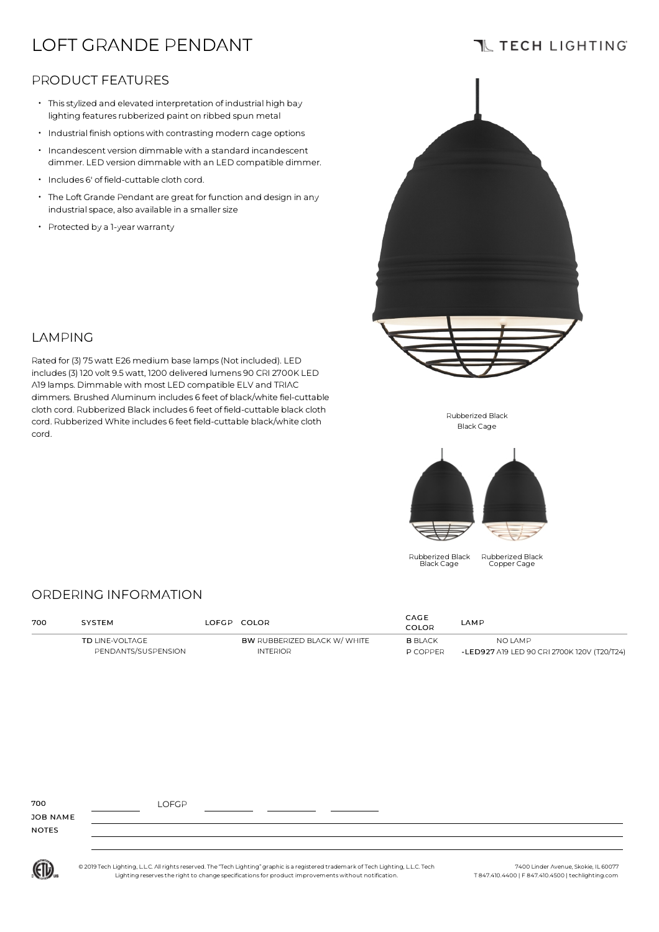# LOFT GRANDE PENDANT

# **TL TECH LIGHTING**

### PRODUCT FEATURES

- Thisstylized and elevated interpretation of industrial high bay lighting features rubberized paint on ribbed spun metal
- Industrial finish optionswith contrasting modern cage options
- $\cdot$  Incandescent version dimmable with a standard incandescent dimmer. LED version dimmable with an LED compatible dimmer.
- Includes 6' of field-cuttable cloth cord.
- The Loft Grande Pendant are great for function and design in any industrial space, also available in a smaller size

Rated for (3) 75watt E26 medium base lamps(Not included). LED includes(3) 120 volt 9.5watt, 1200 delivered lumens 90 CRI 2700K LED A19 lamps. Dimmable with most LED compatible ELV and TRIAC dimmers. Brushed Aluminum includes 6 feet of black/white fiel-cuttable cloth cord. Rubberized Black includes 6 feet of field-cuttable black cloth cord. Rubberized White includes 6 feet field-cuttable black/white cloth

• Protected by <sup>a</sup> 1-year warranty

LAMPING

cord.



Rubberized Black Black Cage



Rubberized Black Black Cage

Rubberized Black Copper Cage

### ORDERING INFORMATION

| 700 | <b>SYSTEM</b>                          |  | LOFGP COLOR                                            | CAGE<br>COLOR                     | LAMP                                                   |  |
|-----|----------------------------------------|--|--------------------------------------------------------|-----------------------------------|--------------------------------------------------------|--|
|     | TD LINE-VOLTAGE<br>PENDANTS/SUSPENSION |  | <b>BW RUBBERIZED BLACK W/ WHITE</b><br><b>INTERIOR</b> | <b>B</b> BLACK<br><b>P COPPER</b> | NO LAMP<br>-LED927 A19 LED 90 CRI 2700K 120V (T20/T24) |  |

| 700          | LOFGP |  |
|--------------|-------|--|
| JOB NAME     |       |  |
| <b>NOTES</b> |       |  |
|              |       |  |

(ETL)

© 2019 Tech Lighting, L.L.C. All rightsreserved. The "Tech Lighting" graphic is a registered trademark of Tech Lighting, L.L.C. Tech Lighting reservesthe right to change specificationsfor product improvementswithout notification.

7400 Linder Avenue, Skokie, IL 60077 T 847.410.4400 | F 847.410.4500 | techlighting.com